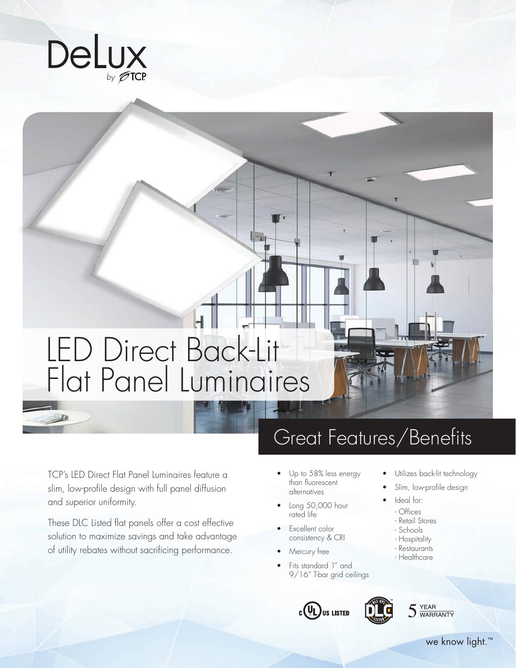

# LED Direct Back-Lit Flat Panel Luminaires

## Great Features/Benefits

TCP's LED Direct Flat Panel Luminaires feature a slim, low-profile design with full panel diffusion and superior uniformity.

These DLC Listed flat panels offer a cost effective solution to maximize savings and take advantage of utility rebates without sacrificing performance.

- Up to 58% less energy than fluorescent alternatives
- Long 50,000 hour rated life
- Excellent color consistency & CRI
- Mercury free
- Fits standard 1" and 9/16" T-bar grid ceilings







Utilizes back-lit technology Slim, low-profile design

Ideal for: - Offices - Retail Stores - Schools - Hospitality - Restaurants - Healthcare

we know light.<sup>™</sup>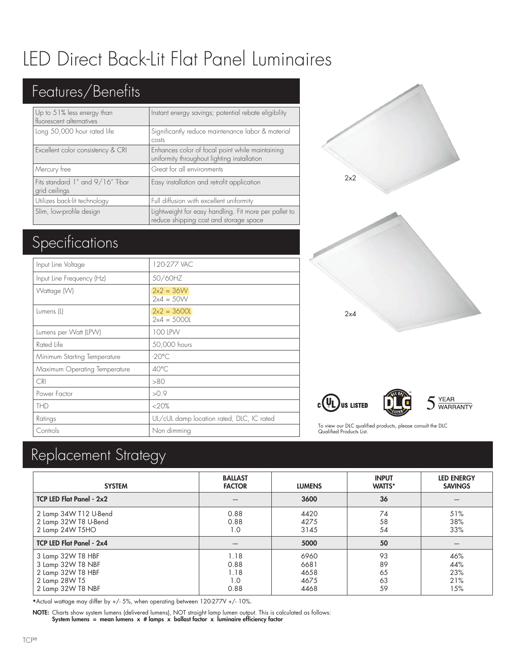## LED Direct Back-Lit Flat Panel Luminaires

### Features/Benefits

| Up to 51% less energy than<br>fluorescent alternatives | Instant energy savings; potential rebate eligibility                                            |
|--------------------------------------------------------|-------------------------------------------------------------------------------------------------|
| Long 50,000 hour rated life                            | Significantly reduce maintenance labor & material<br>costs                                      |
| Excellent color consistency & CRI                      | Enhances color of focal point while maintaining<br>uniformity throughout lighting installation  |
| Mercury free                                           | Great for all environments                                                                      |
| Fits standard 1" and 9/16" T-bar<br>grid ceilings      | Easy installation and retrofit application                                                      |
| Utilizes back-lit technology                           | Full diffusion with excellent uniformity                                                        |
| Slim, low-profile design                               | Lightweight for easy handling. Fit more per pallet to<br>reduce shipping cost and storage space |

### Specifications

| Input Line Voltage            | 120-277 VAC                               |
|-------------------------------|-------------------------------------------|
| Input Line Frequency (Hz)     | 50/60HZ                                   |
| Wattage (W)                   | $2x2 = 36W$<br>$2x4 = 50W$                |
| Lumens (L)                    | $2x^2 = 3600l$<br>$2x4 = 50001$           |
| Lumens per Watt (LPW)         | 100 LPVV                                  |
| Rated Life                    | 50,000 hours                              |
| Minimum Starting Temperature  | $-20^{\circ}$ C                           |
| Maximum Operating Temperature | $40^{\circ}$ C                            |
| <b>CRI</b>                    | >80                                       |
| Power Factor                  | >0.9                                      |
| <b>THD</b>                    | <20%                                      |
| Ratings                       | UL/cUL damp location rated, DLC, IC rated |
| Controls                      | Non dimming                               |









To view our DLC qualified products, please consult the DLC Qualified Products List.

### Replacement Strategy

| <b>SYSTEM</b>                                                                                     | <b>BALLAST</b><br><b>FACTOR</b>     | <b>LUMENS</b>                        | <b>INPUT</b><br><b>WATTS*</b> | <b>LED ENERGY</b><br><b>SAVINGS</b> |
|---------------------------------------------------------------------------------------------------|-------------------------------------|--------------------------------------|-------------------------------|-------------------------------------|
| <b>TCP LED Flat Panel - 2x2</b>                                                                   |                                     | 3600                                 | 36                            |                                     |
| 2 Lamp 34W T12 U-Bend<br>2 Lamp 32W T8 U-Bend<br>2 Lamp 24W T5HO                                  | 0.88<br>0.88<br>1.0                 | 4420<br>4275<br>3145                 | 74<br>58<br>54                | 51%<br>38%<br>33%                   |
| <b>TCP LED Flat Panel - 2x4</b>                                                                   |                                     | 5000                                 | 50                            |                                     |
| 3 Lamp 32W T8 HBF<br>3 Lamp 32W T8 NBF<br>2 Lamp 32W T8 HBF<br>2 Lamp 28W T5<br>2 Lamp 32W T8 NBF | 1.18<br>0.88<br>1.18<br>1.0<br>0.88 | 6960<br>6681<br>4658<br>4675<br>4468 | 93<br>89<br>65<br>63<br>59    | 46%<br>44%<br>23%<br>21%<br>15%     |

\*Actual wattage may differ by +/- 5%, when operating between 120-277V +/- 10%.

NOTE: Charts show system lumens (delivered lumens), NOT straight lamp lumen output. This is calculated as follows: System lumens = mean lumens x # lamps x ballast factor x luminaire efficiency factor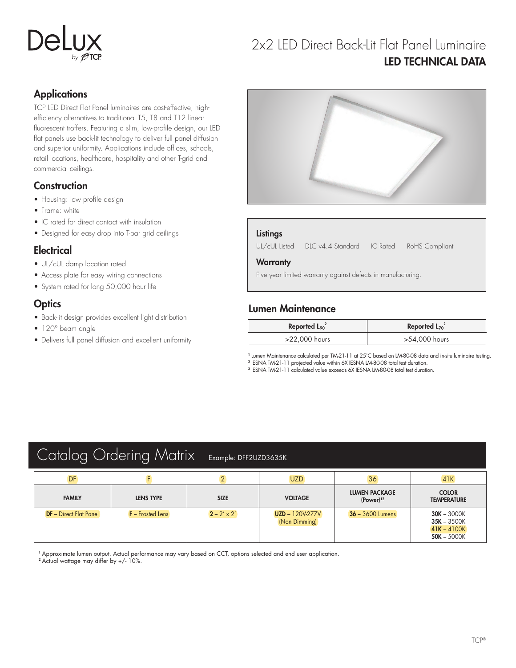#### 2x2 LED Direct Back-Lit Flat Panel Luminaire LED TECHNICAL DATA

#### **Applications**

TCP LED Direct Flat Panel luminaires are cost-effective, highefficiency alternatives to traditional T5, T8 and T12 linear fluorescent troffers. Featuring a slim, low-profile design, our LED flat panels use back-lit technology to deliver full panel diffusion and superior uniformity. Applications include offices, schools, retail locations, healthcare, hospitality and other T-grid and commercial ceilings.

#### **Construction**

- Housing: low profile design
- Frame: white
- IC rated for direct contact with insulation
- Designed for easy drop into T-bar grid ceilings

#### **Electrical**

- UL/cUL damp location rated
- Access plate for easy wiring connections
- System rated for long 50,000 hour life

#### **Optics**

- Back-lit design provides excellent light distribution
- 120° beam angle
- Delivers full panel diffusion and excellent uniformity



#### **Listings**

UL/cUL Listed DLC v4.4 Standard IC Rated RoHS Compliant

#### **Warranty**

Five year limited warranty against defects in manufacturing.

#### Lumen Maintenance

| Reported $\mathsf{L}_{90}^2$ | Reported $L_{70}^2$ |  |
|------------------------------|---------------------|--|
| >22,000 hours                | >54,000 hours       |  |

1 Lumen Maintenance calculated per TM-21-11 at 25˚C based on LM-80-08 data and in-situ luminaire testing. <sup>2</sup> IESNA TM-21-11 projected value within 6X IESNA LM-80-08 total test duration.

<sup>3</sup> IESNA TM-21-11 calculated value exceeds 6X IESNA LM-80-08 total test duration.

| Catalog Ordering Matrix<br>Example: DFF2UZD3635K |                         |                    |                                         |                                        |                                                                  |  |
|--------------------------------------------------|-------------------------|--------------------|-----------------------------------------|----------------------------------------|------------------------------------------------------------------|--|
| DF                                               |                         |                    | <b>UZD</b>                              | 36                                     | 41K                                                              |  |
| <b>FAMILY</b>                                    | <b>LENS TYPE</b>        | <b>SIZE</b>        | <b>VOLTAGE</b>                          | <b>LUMEN PACKAGE</b><br>$(Power)^{12}$ | <b>COLOR</b><br><b>TEMPERATURE</b>                               |  |
| <b>DF</b> - Direct Flat Panel                    | <b>F</b> - Frosted Lens | $2 - 2' \times 2'$ | <b>UZD</b> - 120V-277V<br>(Non Dimming) | $36 - 3600$ Lumens                     | $30K - 3000K$<br>$35K - 3500K$<br>$41K - 4100K$<br>$50K - 5000K$ |  |

<sup>1</sup> Approximate lumen output. Actual performance may vary based on CCT, options selected and end user application.

<sup>2</sup> Actual wattage may differ by +/- 10%.